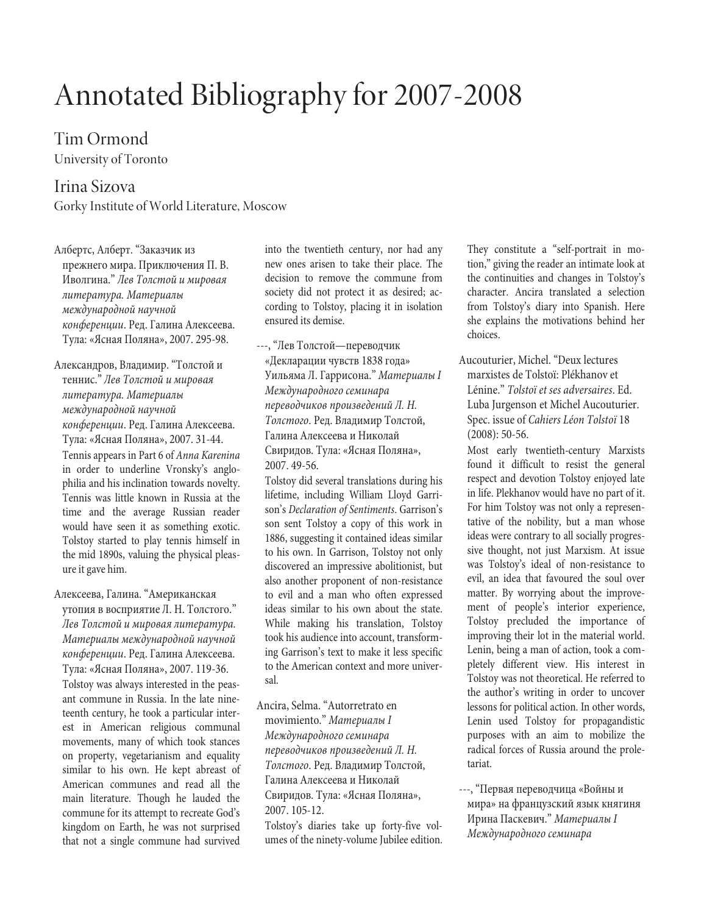# Annotated Bibliography for 2007-2008

Tim Ormond

University of Toronto

# Irina Sizova

Gorky Institute of World Literature, Moscow

Албертс, Алберт. "Заказчик из прежнего мира. Приключения П. В. Иволгина." Лев Толстой и мировая литература. Материалы международной научной конференции. Ред. Галина Алексеева. Тула: «Ясная Поляна», 2007. 295-98.

Александров, Владимир. "Толстой и теннис." Лев Толстой и мировая литература. Материалы международной научной конференции. Ред. Галина Алексеева. Тула: «Ясная Поляна», 2007. 31-44. Tennis appears in Part 6 of Anna Karenina in order to underline Vronsky's anglophilia and his inclination towards novelty. Tennis was little known in Russia at the time and the average Russian reader would have seen it as something exotic. Tolstoy started to play tennis himself in the mid 1890s, valuing the physical pleasure it gave him.

Алексеева, Галина. "Американская утопия в восприятие Л. Н. Толстого." Лев Толстой и мировая литература. Материалы международной научной конференции. Ред. Галина Алексеева. Тула: «Ясная Поляна», 2007. 119-36. Tolstoy was always interested in the peasant commune in Russia. In the late nineteenth century, he took a particular interest in American religious communal movements, many of which took stances on property, vegetarianism and equality similar to his own. He kept abreast of American communes and read all the main literature. Though he lauded the commune for its attempt to recreate God's kingdom on Earth, he was not surprised that not a single commune had survived

into the twentieth century, nor had any new ones arisen to take their place. The decision to remove the commune from society did not protect it as desired; according to Tolstoy, placing it in isolation ensured its demise.

---, "Лев Толстой—переводчик «Декларации чувств 1838 года» Уильяма Л. Гаррисона." Материалы I Международного семинара переводчиков произведений Л. Н. Толстого. Ред. Владимир Толстой, Галина Алексеева и Николай Свиридов. Тула: «Ясная Поляна», 2007. 49-56.

Tolstoy did several translations during his lifetime, including William Lloyd Garrison's Declaration of Sentiments. Garrison's son sent Tolstoy a copy of this work in 1886, suggesting it contained ideas similar to his own. In Garrison, Tolstoy not only discovered an impressive abolitionist, but also another proponent of non-resistance to evil and a man who often expressed ideas similar to his own about the state. While making his translation, Tolstoy took his audience into account, transforming Garrison's text to make it less specific to the American context and more universal.

Ancira, Selma. "Autorretrato en movimiento." Материалы I Международного семинара переводчиков произведений Л. Н. Толстого. Ред. Владимир Толстой, Галина Алексеева и Николай Свиридов. Тула: «Ясная Поляна», 2007. 105-12.

Tolstoy's diaries take up forty-five volumes of the ninety-volume Jubilee edition.

They constitute a "self-portrait in motion," giving the reader an intimate look at the continuities and changes in Tolstoy's character. Ancira translated a selection from Tolstoy's diary into Spanish. Here she explains the motivations behind her choices.

Aucouturier, Michel. "Deux lectures marxistes de Tolstoï: Plékhanov et Lénine." Tolstoï et ses adversaires. Ed. Luba Jurgenson et Michel Aucouturier. Spec. issue of Cahiers Léon Tolstoï 18 (2008): 50-56.

Most early twentieth-century Marxists found it difficult to resist the general respect and devotion Tolstoy enjoyed late in life. Plekhanov would have no part of it. For him Tolstoy was not only a representative of the nobility, but a man whose ideas were contrary to all socially progressive thought, not just Marxism. At issue was Tolstoy's ideal of non-resistance to evil, an idea that favoured the soul over matter. By worrying about the improvement of people's interior experience, Tolstoy precluded the importance of improving their lot in the material world. Lenin, being a man of action, took a completely different view. His interest in Tolstoy was not theoretical. He referred to the author's writing in order to uncover lessons for political action. In other words, Lenin used Tolstoy for propagandistic purposes with an aim to mobilize the radical forces of Russia around the proletariat.

---, "Первая переводчица «Войны и мира» на французский язык княгиня Ирина Паскевич." Материалы I Международного семинара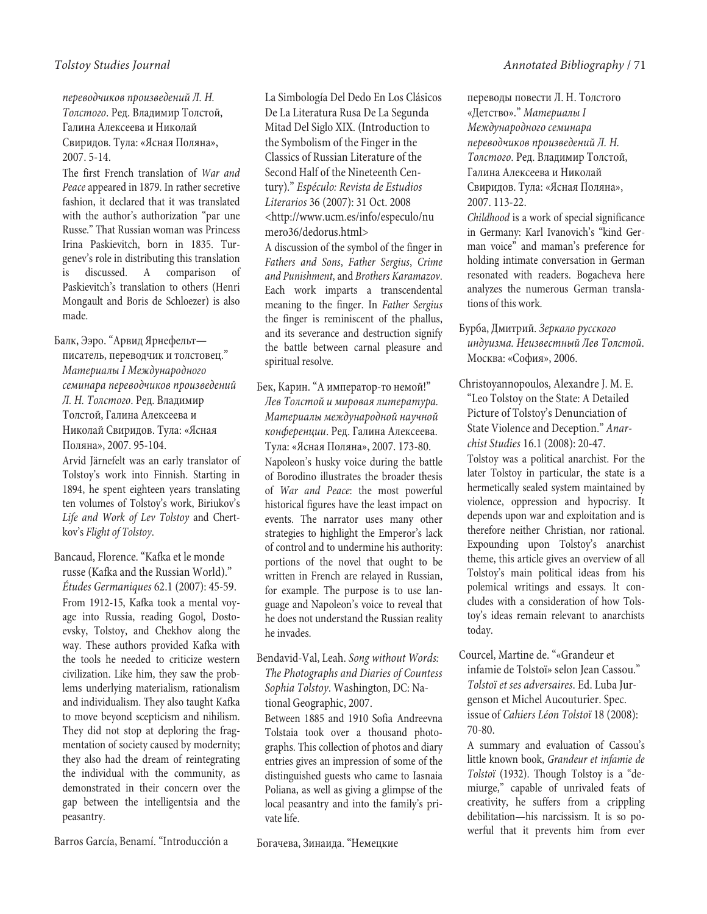переводчиков произведений Л. Н. Толстого. Ред. Владимир Толстой, Галина Алексеева и Николай Свиридов. Тула: «Ясная Поляна», 2007. 5-14.

The first French translation of War and Peace appeared in 1879. In rather secretive fashion, it declared that it was translated with the author's authorization "par une Russe." That Russian woman was Princess Irina Paskievitch, born in 1835. Turgenev's role in distributing this translation is discussed. A comparison of Paskievitch's translation to others (Henri Mongault and Boris de Schloezer) is also made.

Балк, Ээро. "Арвид Ярнефельт писатель, переводчик и толстовец." Материалы I Международного семинара переводчиков произведений Л. Н. Толстого. Ред. Владимир Толстой, Галина Алексеева и Николай Свиридов. Тула: «Ясная Поляна», 2007. 95-104. Arvid Järnefelt was an early translator of

Tolstoy's work into Finnish. Starting in 1894, he spent eighteen years translating ten volumes of Tolstoy's work, Biriukov's Life and Work of Lev Tolstoy and Chertkov's Flight of Tolstoy.

Bancaud, Florence. "Kafka et le monde russe (Kafka and the Russian World)." Études Germaniques 62.1 (2007): 45-59. From 1912-15, Kafka took a mental voyage into Russia, reading Gogol, Dostoevsky, Tolstoy, and Chekhov along the way. These authors provided Kafka with the tools he needed to criticize western civilization. Like him, they saw the problems underlying materialism, rationalism and individualism. They also taught Kafka to move beyond scepticism and nihilism. They did not stop at deploring the fragmentation of society caused by modernity; they also had the dream of reintegrating the individual with the community, as demonstrated in their concern over the gap between the intelligentsia and the peasantry.

Barros García, Benamí. "Introducción a

La Simbología Del Dedo En Los Clásicos De La Literatura Rusa De La Segunda Mitad Del Siglo XIX. (Introduction to the Symbolism of the Finger in the Classics of Russian Literature of the Second Half of the Nineteenth Century)." Espéculo: Revista de Estudios Literarios 36 (2007): 31 Oct. 2008 <http://www.ucm.es/info/especulo/nu mero36/dedorus.html>

A discussion of the symbol of the finger in Fathers and Sons, Father Sergius, Crime and Punishment, and Brothers Karamazov. Each work imparts a transcendental meaning to the finger. In Father Sergius the finger is reminiscent of the phallus, and its severance and destruction signify the battle between carnal pleasure and spiritual resolve.

Бек, Карин. "А император-то немой!" Лев Толстой и мировая литература. Материалы международной научной конференции. Ред. Галина Алексеева. Тула: «Ясная Поляна», 2007. 173-80. Napoleon's husky voice during the battle of Borodino illustrates the broader thesis of War and Peace: the most powerful historical figures have the least impact on events. The narrator uses many other strategies to highlight the Emperor's lack of control and to undermine his authority: portions of the novel that ought to be written in French are relayed in Russian, for example. The purpose is to use language and Napoleon's voice to reveal that he does not understand the Russian reality he invades.

Bendavid-Val, Leah. Song without Words: The Photographs and Diaries of Countess Sophia Tolstoy. Washington, DC: National Geographic, 2007.

Between 1885 and 1910 Sofia Andreevna Tolstaia took over a thousand photographs. This collection of photos and diary entries gives an impression of some of the distinguished guests who came to Iasnaia Poliana, as well as giving a glimpse of the local peasantry and into the family's private life.

Богачева, Зинаида. "Немецкие

переводы повести Л. Н. Толстого «Детство»." Материалы I Международного семинара переводчиков произведений Л. Н. Толстого. Ред. Владимир Толстой, Галина Алексеева и Николай Свиридов. Тула: «Ясная Поляна», 2007. 113-22.

Childhood is a work of special significance in Germany: Karl Ivanovich's "kind German voice" and maman's preference for holding intimate conversation in German resonated with readers. Bogacheva here analyzes the numerous German translations of this work.

Бурба, Дмитрий. Зеркало русского индуизма. Неизвестный Лев Толстой. Москва: «София», 2006.

Christoyannopoulos, Alexandre J. M. E. "Leo Tolstoy on the State: A Detailed Picture of Tolstoy's Denunciation of State Violence and Deception." Anarchist Studies 16.1 (2008): 20-47. Tolstoy was a political anarchist. For the later Tolstoy in particular, the state is a hermetically sealed system maintained by violence, oppression and hypocrisy. It depends upon war and exploitation and is therefore neither Christian, nor rational. Expounding upon Tolstoy's anarchist theme, this article gives an overview of all Tolstoy's main political ideas from his polemical writings and essays. It concludes with a consideration of how Tolstoy's ideas remain relevant to anarchists

Courcel, Martine de. "«Grandeur et infamie de Tolstoï» selon Jean Cassou." Tolstoï et ses adversaires. Ed. Luba Jurgenson et Michel Aucouturier. Spec. issue of Cahiers Léon Tolstoï 18 (2008): 70-80.

today.

A summary and evaluation of Cassou's little known book, Grandeur et infamie de Tolstoï (1932). Though Tolstoy is a "demiurge," capable of unrivaled feats of creativity, he suffers from a crippling debilitation—his narcissism. It is so powerful that it prevents him from ever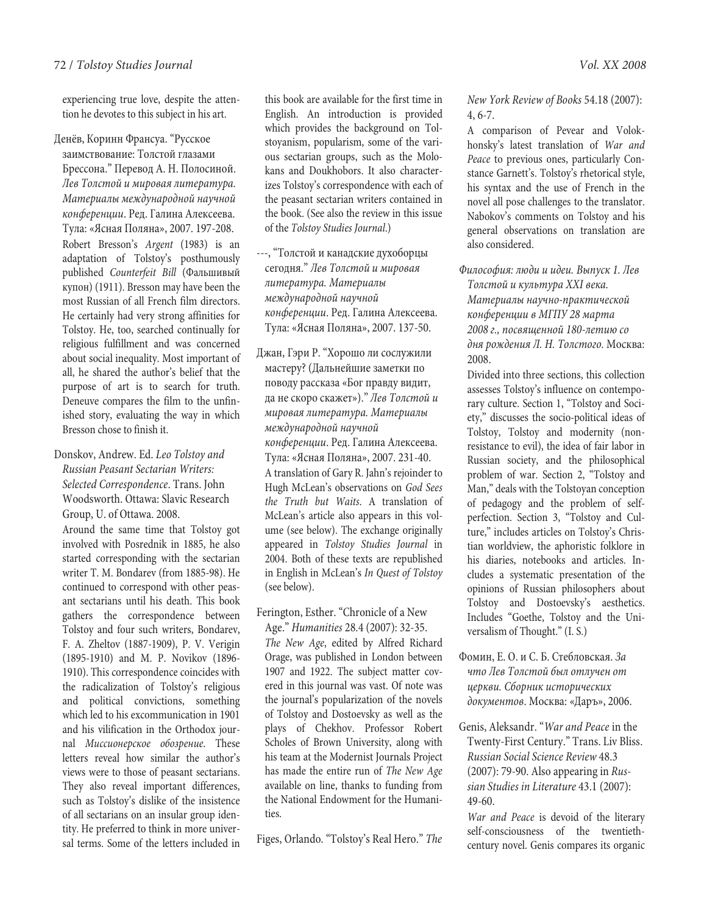experiencing true love, despite the attention he devotes to this subject in his art.

Денёв, Коринн Франсуа. "Русское заимствование: Толстой глазами Брессона." Перевод А. Н. Полосиной. Лев Толстой и мировая литература. Материалы международной научной конференции. Ред. Галина Алексеева. Тула: «Ясная Поляна», 2007. 197-208. Robert Bresson's Argent (1983) is an adaptation of Tolstoy's posthumously published Counterfeit Bill (Фальшивый купон) (1911). Bresson may have been the most Russian of all French film directors. He certainly had very strong affinities for Tolstoy. He, too, searched continually for religious fulfillment and was concerned about social inequality. Most important of all, he shared the author's belief that the purpose of art is to search for truth. Deneuve compares the film to the unfinished story, evaluating the way in which Bresson chose to finish it.

# Donskov, Andrew. Ed. Leo Tolstoy and Russian Peasant Sectarian Writers: Selected Correspondence. Trans. John Woodsworth. Ottawa: Slavic Research Group, U. of Ottawa. 2008.

Around the same time that Tolstoy got involved with Posrednik in 1885, he also started corresponding with the sectarian writer T. M. Bondarev (from 1885-98). He continued to correspond with other peasant sectarians until his death. This book gathers the correspondence between Tolstoy and four such writers, Bondarev, F. A. Zheltov (1887-1909), P. V. Verigin (1895-1910) and M. P. Novikov (1896- 1910). This correspondence coincides with the radicalization of Tolstoy's religious and political convictions, something which led to his excommunication in 1901 and his vilification in the Orthodox journal Миссионерское обозрение. These letters reveal how similar the author's views were to those of peasant sectarians. They also reveal important differences, such as Tolstoy's dislike of the insistence of all sectarians on an insular group identity. He preferred to think in more universal terms. Some of the letters included in

this book are available for the first time in English. An introduction is provided which provides the background on Tolstoyanism, popularism, some of the various sectarian groups, such as the Molokans and Doukhobors. It also characterizes Tolstoy's correspondence with each of the peasant sectarian writers contained in the book. (See also the review in this issue of the Tolstoy Studies Journal.)

- ---, "Толстой и канадские духоборцы сегодня." Лев Толстой и мировая литература. Материалы международной научной конференции. Ред. Галина Алексеева. Тула: «Ясная Поляна», 2007. 137-50.
- Джан, Гэри Р. "Хорошо ли сослужили мастеру? (Дальнейшие заметки по поводу рассказа «Бог правду видит, да не скоро скажет»)." Лев Толстой и мировая литература. Материалы международной научной конференции. Ред. Галина Алексеева. Тула: «Ясная Поляна», 2007. 231-40. A translation of Gary R. Jahn's rejoinder to Hugh McLean's observations on God Sees the Truth but Waits. A translation of McLean's article also appears in this volume (see below). The exchange originally appeared in Tolstoy Studies Journal in 2004. Both of these texts are republished in English in McLean's In Quest of Tolstoy (see below).

# Ferington, Esther. "Chronicle of a New Age." Humanities 28.4 (2007): 32-35.

The New Age, edited by Alfred Richard Orage, was published in London between 1907 and 1922. The subject matter covered in this journal was vast. Of note was the journal's popularization of the novels of Tolstoy and Dostoevsky as well as the plays of Chekhov. Professor Robert Scholes of Brown University, along with his team at the Modernist Journals Project has made the entire run of The New Age available on line, thanks to funding from the National Endowment for the Humanities.

Figes, Orlando. "Tolstoy's Real Hero." The

A comparison of Pevear and Volokhonsky's latest translation of War and Peace to previous ones, particularly Constance Garnett's. Tolstoy's rhetorical style, his syntax and the use of French in the novel all pose challenges to the translator. Nabokov's comments on Tolstoy and his general observations on translation are also considered.

Философия: люди и идеи. Выпуск 1. Лев Толстой и культура XXI века. Материалы научно-практической конференции в МГПУ 28 марта 2008 г., посвященной 180-летию со дня рождения Л. Н. Толстого. Москва: 2008.

Divided into three sections, this collection assesses Tolstoy's influence on contemporary culture. Section 1, "Tolstoy and Society," discusses the socio-political ideas of Tolstoy, Tolstoy and modernity (nonresistance to evil), the idea of fair labor in Russian society, and the philosophical problem of war. Section 2, "Tolstoy and Man," deals with the Tolstoyan conception of pedagogy and the problem of selfperfection. Section 3, "Tolstoy and Culture," includes articles on Tolstoy's Christian worldview, the aphoristic folklore in his diaries, notebooks and articles. Includes a systematic presentation of the opinions of Russian philosophers about Tolstoy and Dostoevsky's aesthetics. Includes "Goethe, Tolstoy and the Universalism of Thought." (I. S.)

Фомин, Е. О. и С. Б. Стебловская. За что Лев Толстой был отлучен от церкви. Сборник исторических документов. Москва: «Даръ», 2006.

Genis, Aleksandr. "War and Peace in the Twenty-First Century." Trans. Liv Bliss. Russian Social Science Review 48.3 (2007): 79-90. Also appearing in Russian Studies in Literature 43.1 (2007): 49-60.

War and Peace is devoid of the literary self-consciousness of the twentiethcentury novel. Genis compares its organic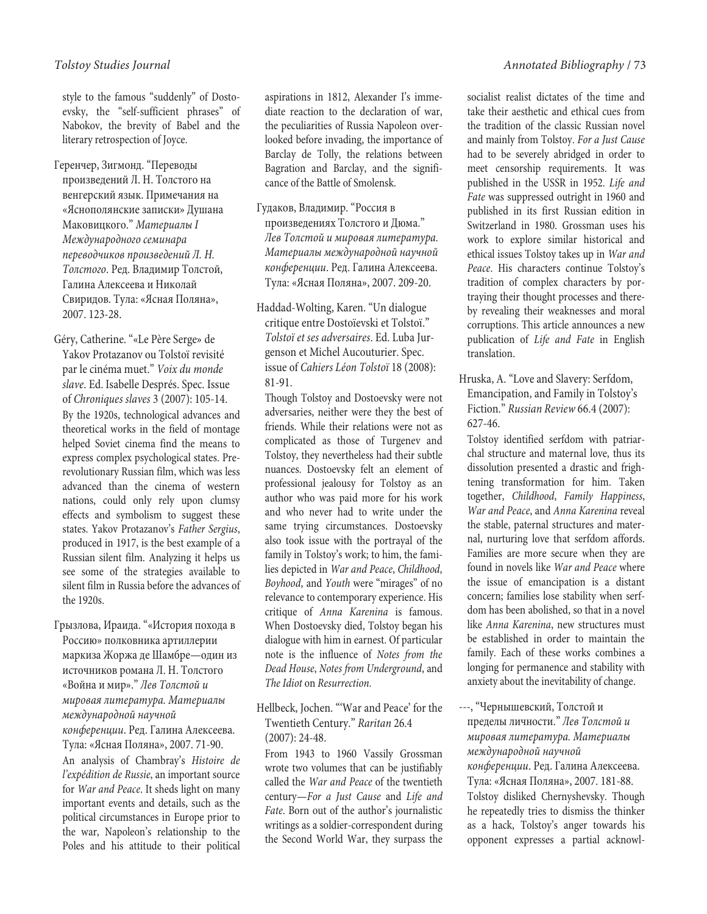style to the famous "suddenly" of Dostoevsky, the "self-sufficient phrases" of Nabokov, the brevity of Babel and the literary retrospection of Joyce.

Геренчер, Зигмонд. "Переводы произведений Л. Н. Толстого на венгерский язык. Примечания на «Яснополянские записки» Душана Маковицкого." Материалы I Международного семинара переводчиков произведений Л. Н. Толстого. Ред. Владимир Толстой, Галина Алексеева и Николай Свиридов. Тула: «Ясная Поляна», 2007. 123-28.

Géry, Catherine. "«Le Père Serge» de Yakov Protazanov ou Tolstoï revisité par le cinéma muet." Voix du monde slave. Ed. Isabelle Després. Spec. Issue of Chroniques slaves 3 (2007): 105-14. By the 1920s, technological advances and theoretical works in the field of montage helped Soviet cinema find the means to express complex psychological states. Prerevolutionary Russian film, which was less advanced than the cinema of western nations, could only rely upon clumsy effects and symbolism to suggest these states. Yakov Protazanov's Father Sergius, produced in 1917, is the best example of a Russian silent film. Analyzing it helps us see some of the strategies available to silent film in Russia before the advances of the 1920s.

Грызлова, Ираида. "«История похода в Россию» полковника артиллерии маркиза Жоржа де Шамбре—один из источников романа Л. Н. Толстого «Война и мир»." Лев Толстой и мировая литература. Материалы международной научной конференции. Ред. Галина Алексеева. Тула: «Ясная Поляна», 2007. 71-90. An analysis of Chambray's Histoire de l'expédition de Russie, an important source for War and Peace. It sheds light on many important events and details, such as the political circumstances in Europe prior to the war, Napoleon's relationship to the Poles and his attitude to their political

aspirations in 1812, Alexander I's immediate reaction to the declaration of war, the peculiarities of Russia Napoleon overlooked before invading, the importance of Barclay de Tolly, the relations between Bagration and Barclay, and the significance of the Battle of Smolensk.

- Гудаков, Владимир. "Россия в произведениях Толстого и Дюма." Лев Толстой и мировая литература. Материалы международной научной конференции. Ред. Галина Алексеева. Тула: «Ясная Поляна», 2007. 209-20.
- Haddad-Wolting, Karen. "Un dialogue critique entre Dostoïevski et Tolstoï." Tolstoï et ses adversaires. Ed. Luba Jurgenson et Michel Aucouturier. Spec. issue of Cahiers Léon Tolstoï 18 (2008): 81-91.

Though Tolstoy and Dostoevsky were not adversaries, neither were they the best of friends. While their relations were not as complicated as those of Turgenev and Tolstoy, they nevertheless had their subtle nuances. Dostoevsky felt an element of professional jealousy for Tolstoy as an author who was paid more for his work and who never had to write under the same trying circumstances. Dostoevsky also took issue with the portrayal of the family in Tolstoy's work; to him, the families depicted in War and Peace, Childhood, Boyhood, and Youth were "mirages" of no relevance to contemporary experience. His critique of Anna Karenina is famous. When Dostoevsky died, Tolstoy began his dialogue with him in earnest. Of particular note is the influence of Notes from the Dead House, Notes from Underground, and The Idiot on Resurrection.

# Hellbeck, Jochen. "'War and Peace' for the Twentieth Century." Raritan 26.4 (2007): 24-48.

From 1943 to 1960 Vassily Grossman wrote two volumes that can be justifiably called the War and Peace of the twentieth century—For a Just Cause and Life and Fate. Born out of the author's journalistic writings as a soldier-correspondent during the Second World War, they surpass the

socialist realist dictates of the time and take their aesthetic and ethical cues from the tradition of the classic Russian novel and mainly from Tolstoy. For a Just Cause had to be severely abridged in order to meet censorship requirements. It was published in the USSR in 1952. Life and Fate was suppressed outright in 1960 and published in its first Russian edition in Switzerland in 1980. Grossman uses his work to explore similar historical and ethical issues Tolstoy takes up in War and Peace. His characters continue Tolstoy's tradition of complex characters by portraying their thought processes and thereby revealing their weaknesses and moral corruptions. This article announces a new publication of Life and Fate in English translation.

Hruska, A. "Love and Slavery: Serfdom, Emancipation, and Family in Tolstoy's Fiction." Russian Review 66.4 (2007): 627-46.

Tolstoy identified serfdom with patriarchal structure and maternal love, thus its dissolution presented a drastic and frightening transformation for him. Taken together, Childhood, Family Happiness, War and Peace, and Anna Karenina reveal the stable, paternal structures and maternal, nurturing love that serfdom affords. Families are more secure when they are found in novels like War and Peace where the issue of emancipation is a distant concern; families lose stability when serfdom has been abolished, so that in a novel like Anna Karenina, new structures must be established in order to maintain the family. Each of these works combines a longing for permanence and stability with anxiety about the inevitability of change.

---, "Чернышевский, Толстой и пределы личности." Лев Толстой и мировая литература. Материалы международной научной конференции. Ред. Галина Алексеева. Тула: «Ясная Поляна», 2007. 181-88. Tolstoy disliked Chernyshevsky. Though he repeatedly tries to dismiss the thinker as a hack, Tolstoy's anger towards his opponent expresses a partial acknowl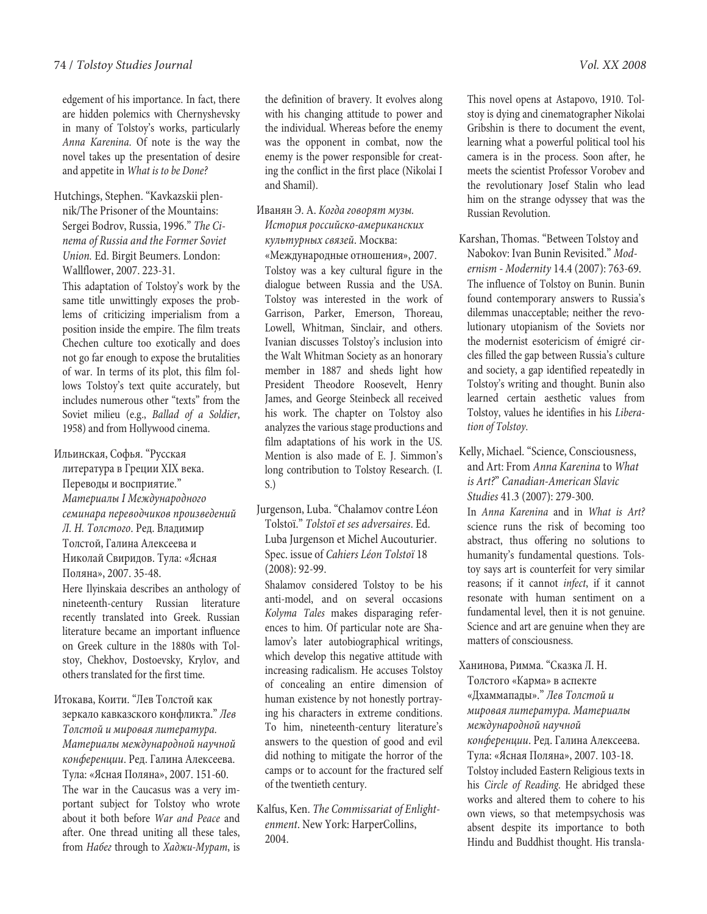edgement of his importance. In fact, there are hidden polemics with Chernyshevsky in many of Tolstoy's works, particularly Anna Karenina. Of note is the way the novel takes up the presentation of desire and appetite in What is to be Done?

Hutchings, Stephen. "Kavkazskii plennik/The Prisoner of the Mountains: Sergei Bodrov, Russia, 1996." The Cinema of Russia and the Former Soviet Union. Ed. Birgit Beumers. London: Wallflower, 2007. 223-31.

This adaptation of Tolstoy's work by the same title unwittingly exposes the problems of criticizing imperialism from a position inside the empire. The film treats Chechen culture too exotically and does not go far enough to expose the brutalities of war. In terms of its plot, this film follows Tolstoy's text quite accurately, but includes numerous other "texts" from the Soviet milieu (e.g., Ballad of a Soldier, 1958) and from Hollywood cinema.

- Ильинская, Софья. "Русская
	- литература в Греции XIX века. Переводы и восприятие." Материалы I Международного семинара переводчиков произведений Л. Н. Толстого. Ред. Владимир Толстой, Галина Алексеева и Николай Свиридов. Тула: «Ясная Поляна», 2007. 35-48.

Here Ilyinskaia describes an anthology of nineteenth-century Russian literature recently translated into Greek. Russian literature became an important influence on Greek culture in the 1880s with Tolstoy, Chekhov, Dostoevsky, Krylov, and others translated for the first time.

Итокава, Коити. "Лев Толстой как зеркало кавказского конфликта." Лев Толстой и мировая литература. Материалы международной научной конференции. Ред. Галина Алексеева. Тула: «Ясная Поляна», 2007. 151-60. The war in the Caucasus was a very important subject for Tolstoy who wrote about it both before War and Peace and after. One thread uniting all these tales, from Набег through to Хаджи-Mурат, is

the definition of bravery. It evolves along with his changing attitude to power and the individual. Whereas before the enemy was the opponent in combat, now the enemy is the power responsible for creating the conflict in the first place (Nikolai I and Shamil).

# Иванян Э. А. Когда говорят музы. История российско-американских культурных связей. Москва:

«Международные отношения», 2007. Tolstoy was a key cultural figure in the dialogue between Russia and the USA. Tolstoy was interested in the work of Garrison, Parker, Emerson, Thoreau, Lowell, Whitman, Sinclair, and others. Ivanian discusses Tolstoy's inclusion into the Walt Whitman Society as an honorary member in 1887 and sheds light how President Theodore Roosevelt, Henry James, and George Steinbeck all received his work. The chapter on Tolstoy also analyzes the various stage productions and film adaptations of his work in the US. Mention is also made of E. J. Simmon's long contribution to Tolstoy Research. (I. S.)

Jurgenson, Luba. "Chalamov contre Léon Tolstoï." Tolstoï et ses adversaires. Ed. Luba Jurgenson et Michel Aucouturier. Spec. issue of Cahiers Léon Tolstoï 18 (2008): 92-99.

Shalamov considered Tolstoy to be his anti-model, and on several occasions Kolyma Tales makes disparaging references to him. Of particular note are Shalamov's later autobiographical writings, which develop this negative attitude with increasing radicalism. He accuses Tolstoy of concealing an entire dimension of human existence by not honestly portraying his characters in extreme conditions. To him, nineteenth-century literature's answers to the question of good and evil did nothing to mitigate the horror of the camps or to account for the fractured self of the twentieth century.

Kalfus, Ken. The Commissariat of Enlightenment. New York: HarperCollins, 2004.

This novel opens at Astapovo, 1910. Tolstoy is dying and cinematographer Nikolai Gribshin is there to document the event, learning what a powerful political tool his camera is in the process. Soon after, he meets the scientist Professor Vorobev and the revolutionary Josef Stalin who lead him on the strange odyssey that was the Russian Revolution.

Karshan, Thomas. "Between Tolstoy and Nabokov: Ivan Bunin Revisited." Modernism - Modernity 14.4 (2007): 763-69. The influence of Tolstoy on Bunin. Bunin found contemporary answers to Russia's dilemmas unacceptable; neither the revolutionary utopianism of the Soviets nor the modernist esotericism of émigré circles filled the gap between Russia's culture and society, a gap identified repeatedly in Tolstoy's writing and thought. Bunin also learned certain aesthetic values from Tolstoy, values he identifies in his Liberation of Tolstoy.

# Kelly, Michael. "Science, Consciousness, and Art: From Anna Karenina to What is Art?" Canadian-American Slavic Studies 41.3 (2007): 279-300.

In Anna Karenina and in What is Art? science runs the risk of becoming too abstract, thus offering no solutions to humanity's fundamental questions. Tolstoy says art is counterfeit for very similar reasons; if it cannot infect, if it cannot resonate with human sentiment on a fundamental level, then it is not genuine. Science and art are genuine when they are matters of consciousness.

# Ханинова, Римма. "Сказка Л. Н.

Толстого «Карма» в аспекте «Дхаммапады»." Лев Толстой и мировая литература. Материалы международной научной конференции. Ред. Галина Алексеева. Тула: «Ясная Поляна», 2007. 103-18. Tolstoy included Eastern Religious texts in his Circle of Reading. He abridged these works and altered them to cohere to his own views, so that metempsychosis was absent despite its importance to both Hindu and Buddhist thought. His transla-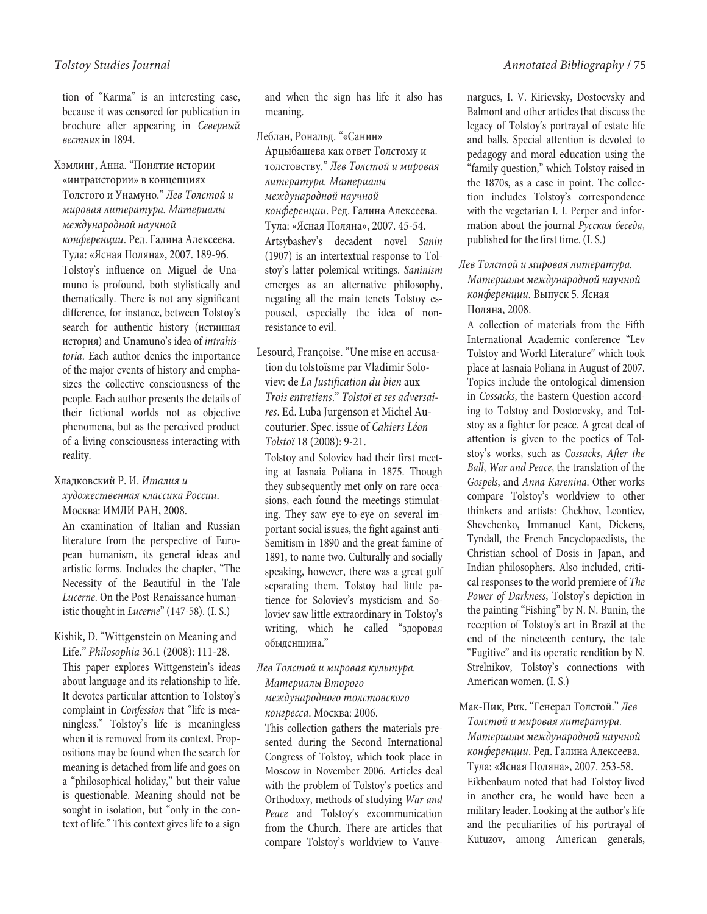tion of "Karma" is an interesting case, because it was censored for publication in brochure after appearing in Северный вестник in 1894.

Хэмлинг, Анна. "Понятие истории «интраистории» в концепциях Толстого и Унамуно." Лев Толстой и мировая литература. Материалы международной научной конференции. Ред. Галина Алексеева. Тула: «Ясная Поляна», 2007. 189-96. Tolstoy's influence on Miguel de Unamuno is profound, both stylistically and thematically. There is not any significant difference, for instance, between Tolstoy's search for authentic history (истинная история) and Unamuno's idea of intrahistoria. Each author denies the importance of the major events of history and emphasizes the collective consciousness of the people. Each author presents the details of their fictional worlds not as objective phenomena, but as the perceived product of a living consciousness interacting with reality.

### Хладковский Р. И. Италия и

художественная классика России. Москва: ИМЛИ РАН, 2008.

An examination of Italian and Russian literature from the perspective of European humanism, its general ideas and artistic forms. Includes the chapter, "The Necessity of the Beautiful in the Tale Lucerne. On the Post-Renaissance humanistic thought in Lucerne" (147-58). (I. S.)

Kishik, D. "Wittgenstein on Meaning and Life." Philosophia 36.1 (2008): 111-28. This paper explores Wittgenstein's ideas about language and its relationship to life. It devotes particular attention to Tolstoy's complaint in Confession that "life is meaningless." Tolstoy's life is meaningless when it is removed from its context. Propositions may be found when the search for meaning is detached from life and goes on a "philosophical holiday," but their value is questionable. Meaning should not be sought in isolation, but "only in the context of life." This context gives life to a sign

and when the sign has life it also has meaning.

Леблан, Рональд. "«Санин» Арцыбашева как ответ Толстому и толстовству." Лев Толстой и мировая литература. Материалы международной научной конференции. Ред. Галина Алексеева. Тула: «Ясная Поляна», 2007. 45-54. Artsybashev's decadent novel Sanin (1907) is an intertextual response to Tolstoy's latter polemical writings. Saninism emerges as an alternative philosophy, negating all the main tenets Tolstoy espoused, especially the idea of nonresistance to evil.

Lesourd, Françoise. "Une mise en accusation du tolstoïsme par Vladimir Soloviev: de La Justification du bien aux Trois entretiens." Tolstoï et ses adversaires. Ed. Luba Jurgenson et Michel Aucouturier. Spec. issue of Cahiers Léon Tolstoï 18 (2008): 9-21.

Tolstoy and Soloviev had their first meeting at Iasnaia Poliana in 1875. Though they subsequently met only on rare occasions, each found the meetings stimulating. They saw eye-to-eye on several important social issues, the fight against anti-Semitism in 1890 and the great famine of 1891, to name two. Culturally and socially speaking, however, there was a great gulf separating them. Tolstoy had little patience for Soloviev's mysticism and Soloviev saw little extraordinary in Tolstoy's writing, which he called "здоровая обыденщина."

# Лев Толстой и мировая культура. Материалы Второго международного толстовского

конгресса. Москва: 2006. This collection gathers the materials presented during the Second International Congress of Tolstoy, which took place in Moscow in November 2006. Articles deal with the problem of Tolstoy's poetics and Orthodoxy, methods of studying War and Peace and Tolstoy's excommunication from the Church. There are articles that compare Tolstoy's worldview to Vauve-

nargues, I. V. Kirievsky, Dostoevsky and Balmont and other articles that discuss the legacy of Tolstoy's portrayal of estate life and balls. Special attention is devoted to pedagogy and moral education using the "family question," which Tolstoy raised in the 1870s, as a case in point. The collection includes Tolstoy's correspondence with the vegetarian I. I. Perper and information about the journal Русская беседа, published for the first time. (I. S.)

Лев Толстой и мировая литература. Материалы международной научной конференции. Выпуск 5. Ясная Поляна, 2008.

A collection of materials from the Fifth International Academic conference "Lev Tolstoy and World Literature" which took place at Iasnaia Poliana in August of 2007. Topics include the ontological dimension in Cossacks, the Eastern Question according to Tolstoy and Dostoevsky, and Tolstoy as a fighter for peace. A great deal of attention is given to the poetics of Tolstoy's works, such as Cossacks, After the Ball, War and Peace, the translation of the Gospels, and Anna Karenina. Other works compare Tolstoy's worldview to other thinkers and artists: Chekhov, Leontiev, Shevchenko, Immanuel Kant, Dickens, Tyndall, the French Encyclopaedists, the Christian school of Dosis in Japan, and Indian philosophers. Also included, critical responses to the world premiere of The Power of Darkness, Tolstoy's depiction in the painting "Fishing" by N. N. Bunin, the reception of Tolstoy's art in Brazil at the end of the nineteenth century, the tale "Fugitive" and its operatic rendition by N. Strelnikov, Tolstoy's connections with American women. (I. S.)

Мак-Пик, Рик. "Генерал Толстой." Лев Толстой и мировая литература. Материалы международной научной конференции. Ред. Галина Алексеева. Тула: «Ясная Поляна», 2007. 253-58. Eikhenbaum noted that had Tolstoy lived in another era, he would have been a military leader. Looking at the author's life and the peculiarities of his portrayal of Kutuzov, among American generals,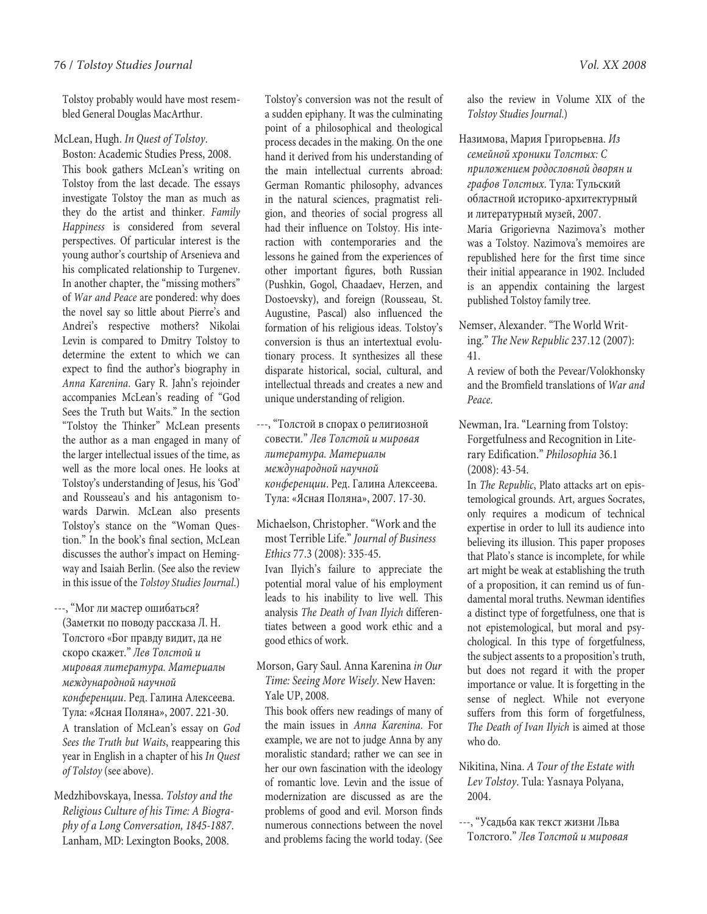Tolstoy probably would have most resembled General Douglas MacArthur.

### McLean, Hugh. In Quest of Tolstoy.

Boston: Academic Studies Press, 2008. This book gathers McLean's writing on Tolstoy from the last decade. The essays investigate Tolstoy the man as much as they do the artist and thinker. Family Happiness is considered from several perspectives. Of particular interest is the young author's courtship of Arsenieva and his complicated relationship to Turgenev. In another chapter, the "missing mothers" of War and Peace are pondered: why does the novel say so little about Pierre's and Andrei's respective mothers? Nikolai Levin is compared to Dmitry Tolstoy to determine the extent to which we can expect to find the author's biography in Anna Karenina. Gary R. Jahn's rejoinder accompanies McLean's reading of "God Sees the Truth but Waits." In the section "Tolstoy the Thinker" McLean presents the author as a man engaged in many of the larger intellectual issues of the time, as well as the more local ones. He looks at Tolstoy's understanding of Jesus, his 'God' and Rousseau's and his antagonism towards Darwin. McLean also presents Tolstoy's stance on the "Woman Question." In the book's final section, McLean discusses the author's impact on Hemingway and Isaiah Berlin. (See also the review in this issue of the Tolstoy Studies Journal.)

---, "Мог ли мастер ошибаться? (Заметки по поводу рассказа Л. Н. Толстого «Бог правду видит, да не скоро скажет." Лев Толстой и мировая литература. Материалы международной научной конференции. Ред. Галина Алексеева. Тула: «Ясная Поляна», 2007. 221-30. A translation of McLean's essay on God Sees the Truth but Waits, reappearing this year in English in a chapter of his In Quest of Tolstoy (see above).

Medzhibovskaya, Inessa. Tolstoy and the Religious Culture of his Time: A Biography of a Long Conversation, 1845-1887. Lanham, MD: Lexington Books, 2008.

Tolstoy's conversion was not the result of a sudden epiphany. It was the culminating point of a philosophical and theological process decades in the making. On the one hand it derived from his understanding of the main intellectual currents abroad: German Romantic philosophy, advances in the natural sciences, pragmatist religion, and theories of social progress all had their influence on Tolstoy. His interaction with contemporaries and the lessons he gained from the experiences of other important figures, both Russian (Pushkin, Gogol, Chaadaev, Herzen, and Dostoevsky), and foreign (Rousseau, St. Augustine, Pascal) also influenced the formation of his religious ideas. Tolstoy's conversion is thus an intertextual evolutionary process. It synthesizes all these disparate historical, social, cultural, and intellectual threads and creates a new and unique understanding of religion.

- ---, "Толстой в спорах о религиозной совести." Лев Толстой и мировая литература. Материалы международной научной конференции. Ред. Галина Алексеева. Тула: «Ясная Поляна», 2007. 17-30.
- Michaelson, Christopher. "Work and the most Terrible Life." Journal of Business Ethics 77.3 (2008): 335-45. Ivan Ilyich's failure to appreciate the potential moral value of his employment leads to his inability to live well. This analysis The Death of Ivan Ilyich differentiates between a good work ethic and a good ethics of work.
- Morson, Gary Saul. Anna Karenina in Our Time: Seeing More Wisely. New Haven: Yale UP, 2008.

This book offers new readings of many of the main issues in Anna Karenina. For example, we are not to judge Anna by any moralistic standard; rather we can see in her our own fascination with the ideology of romantic love. Levin and the issue of modernization are discussed as are the problems of good and evil. Morson finds numerous connections between the novel and problems facing the world today. (See

also the review in Volume XIX of the Tolstoy Studies Journal.)

Назимова, Мария Григорьевна. Из семейной хроники Толстых: С приложением родословной дворян и графов Толстых. Тула: Тульский областной историко-архитектурный и литературный музей, 2007. Maria Grigorievna Nazimova's mother was a Tolstoy. Nazimova's memoires are republished here for the first time since their initial appearance in 1902. Included is an appendix containing the largest published Tolstoy family tree.

Nemser, Alexander. "The World Writing." The New Republic 237.12 (2007): 41.

A review of both the Pevear/Volokhonsky and the Bromfield translations of War and Peace.

Newman, Ira. "Learning from Tolstoy: Forgetfulness and Recognition in Literary Edification." Philosophia 36.1 (2008): 43-54.

In The Republic, Plato attacks art on epistemological grounds. Art, argues Socrates, only requires a modicum of technical expertise in order to lull its audience into believing its illusion. This paper proposes that Plato's stance is incomplete, for while art might be weak at establishing the truth of a proposition, it can remind us of fundamental moral truths. Newman identifies a distinct type of forgetfulness, one that is not epistemological, but moral and psychological. In this type of forgetfulness, the subject assents to a proposition's truth, but does not regard it with the proper importance or value. It is forgetting in the sense of neglect. While not everyone suffers from this form of forgetfulness, The Death of Ivan Ilyich is aimed at those who do.

Nikitina, Nina. A Tour of the Estate with Lev Tolstoy. Tula: Yasnaya Polyana, 2004.

---, "Усадьба как текст жизни Льва Толстого." Лев Толстой и мировая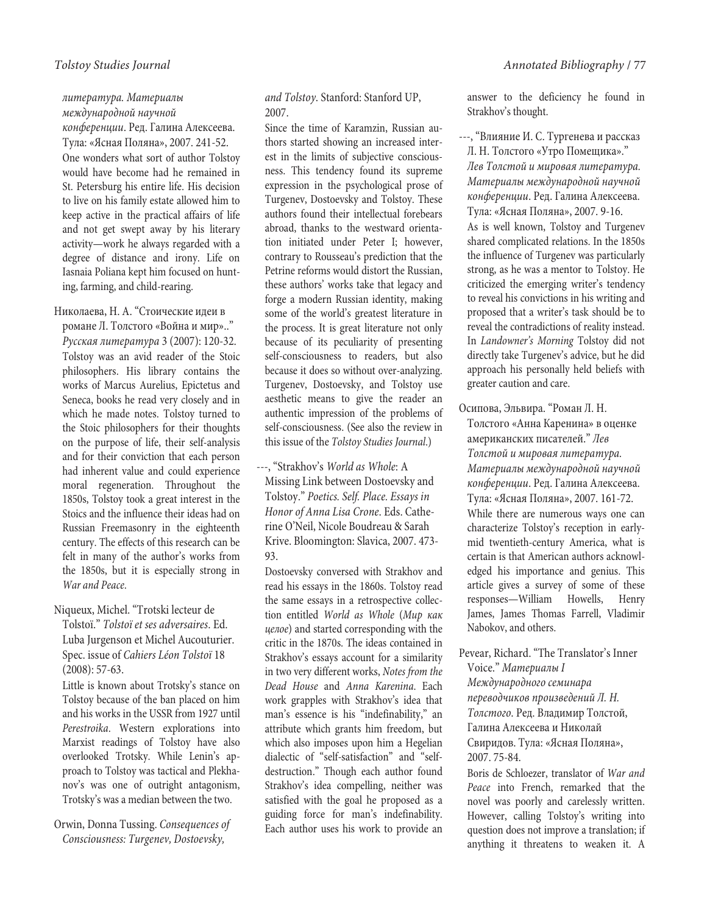# литература. Материалы международной научной

конференции. Ред. Галина Алексеева. Тула: «Ясная Поляна», 2007. 241-52. One wonders what sort of author Tolstoy would have become had he remained in St. Petersburg his entire life. His decision to live on his family estate allowed him to keep active in the practical affairs of life and not get swept away by his literary activity—work he always regarded with a degree of distance and irony. Life on Iasnaia Poliana kept him focused on hunting, farming, and child-rearing.

# Николаева, Н. А. "Стоические идеи в

романе Л. Толстого «Война и мир».." Русская литература 3 (2007): 120-32. Tolstoy was an avid reader of the Stoic philosophers. His library contains the works of Marcus Aurelius, Epictetus and Seneca, books he read very closely and in which he made notes. Tolstoy turned to the Stoic philosophers for their thoughts on the purpose of life, their self-analysis and for their conviction that each person had inherent value and could experience moral regeneration. Throughout the 1850s, Tolstoy took a great interest in the Stoics and the influence their ideas had on Russian Freemasonry in the eighteenth century. The effects of this research can be felt in many of the author's works from the 1850s, but it is especially strong in War and Peace.

# Niqueux, Michel. "Trotski lecteur de

Tolstoï." Tolstoï et ses adversaires. Ed. Luba Jurgenson et Michel Aucouturier. Spec. issue of Cahiers Léon Tolstoï 18 (2008): 57-63.

Little is known about Trotsky's stance on Tolstoy because of the ban placed on him and his works in the USSR from 1927 until Perestroika. Western explorations into Marxist readings of Tolstoy have also overlooked Trotsky. While Lenin's approach to Tolstoy was tactical and Plekhanov's was one of outright antagonism, Trotsky's was a median between the two.

Orwin, Donna Tussing. Consequences of Consciousness: Turgenev, Dostoevsky,

# and Tolstoy. Stanford: Stanford UP, 2007.

Since the time of Karamzin, Russian authors started showing an increased interest in the limits of subjective consciousness. This tendency found its supreme expression in the psychological prose of Turgenev, Dostoevsky and Tolstoy. These authors found their intellectual forebears abroad, thanks to the westward orientation initiated under Peter I; however, contrary to Rousseau's prediction that the Petrine reforms would distort the Russian, these authors' works take that legacy and forge a modern Russian identity, making some of the world's greatest literature in the process. It is great literature not only because of its peculiarity of presenting self-consciousness to readers, but also because it does so without over-analyzing. Turgenev, Dostoevsky, and Tolstoy use aesthetic means to give the reader an authentic impression of the problems of self-consciousness. (See also the review in this issue of the Tolstoy Studies Journal.)

---, "Strakhov's World as Whole: A Missing Link between Dostoevsky and Tolstoy." Poetics. Self. Place. Essays in Honor of Anna Lisa Crone. Eds. Catherine O'Neil, Nicole Boudreau & Sarah Krive. Bloomington: Slavica, 2007. 473- 93.

Dostoevsky conversed with Strakhov and read his essays in the 1860s. Tolstoy read the same essays in a retrospective collection entitled World as Whole (Мир как целое) and started corresponding with the critic in the 1870s. The ideas contained in Strakhov's essays account for a similarity in two very different works, Notes from the Dead House and Anna Karenina. Each work grapples with Strakhov's idea that man's essence is his "indefinability," an attribute which grants him freedom, but which also imposes upon him a Hegelian dialectic of "self-satisfaction" and "selfdestruction." Though each author found Strakhov's idea compelling, neither was satisfied with the goal he proposed as a guiding force for man's indefinability. Each author uses his work to provide an answer to the deficiency he found in Strakhov's thought.

---, "Влияние И. С. Тургенева и рассказ Л. Н. Толстого «Утро Помещика»." Лев Толстой и мировая литература. Материалы международной научной конференции. Ред. Галина Алексеева. Тула: «Ясная Поляна», 2007. 9-16. As is well known, Tolstoy and Turgenev shared complicated relations. In the 1850s the influence of Turgenev was particularly strong, as he was a mentor to Tolstoy. He criticized the emerging writer's tendency to reveal his convictions in his writing and proposed that a writer's task should be to reveal the contradictions of reality instead. In Landowner's Morning Tolstoy did not directly take Turgenev's advice, but he did approach his personally held beliefs with greater caution and care.

Осипова, Эльвира. "Роман Л. Н. Толстого «Анна Каренина» в оценке американских писателей." Лев Толстой и мировая литература. Материалы международной научной конференции. Ред. Галина Алексеева. Тула: «Ясная Поляна», 2007. 161-72. While there are numerous ways one can characterize Tolstoy's reception in earlymid twentieth-century America, what is certain is that American authors acknowledged his importance and genius. This article gives a survey of some of these responses—William Howells, Henry James, James Thomas Farrell, Vladimir Nabokov, and others.

Pevear, Richard. "The Translator's Inner Voice." Материалы I Международного семинара переводчиков произведений Л. Н. Толстого. Ред. Владимир Толстой, Галина Алексеева и Николай Свиридов. Тула: «Ясная Поляна», 2007. 75-84.

Boris de Schloezer, translator of War and Peace into French, remarked that the novel was poorly and carelessly written. However, calling Tolstoy's writing into question does not improve a translation; if anything it threatens to weaken it. A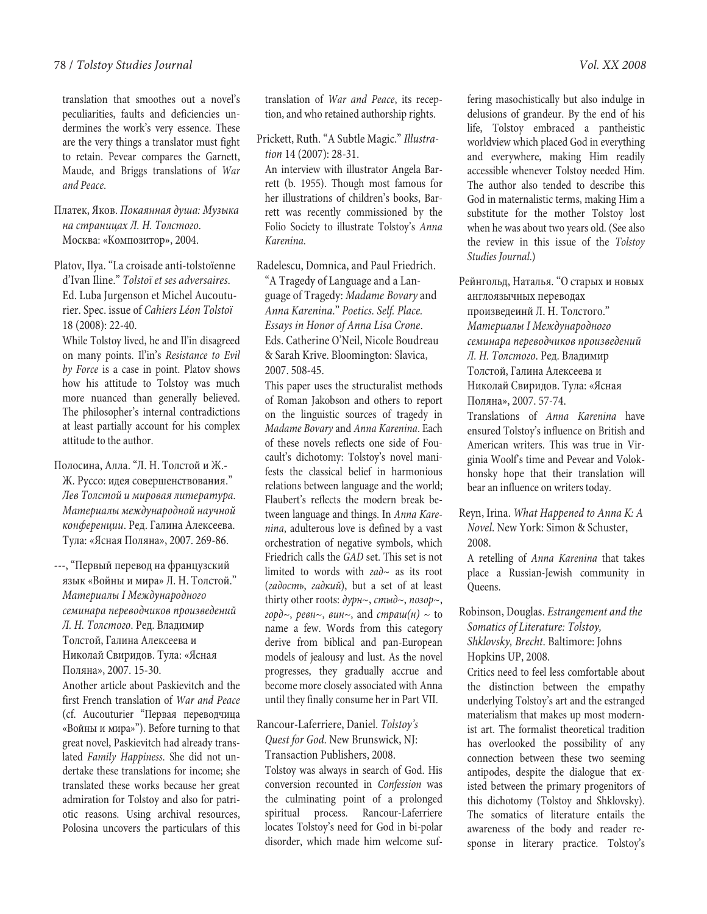#### 78 / Tolstoy Studies Journal Vol. XX 2008

translation that smoothes out a novel's peculiarities, faults and deficiencies undermines the work's very essence. These are the very things a translator must fight to retain. Pevear compares the Garnett, Maude, and Briggs translations of War and Peace.

Платек, Яков. Покаянная душа: Музыка на страницах Л. Н. Толстого. Москва: «Композитор», 2004.

Platov, Ilya. "La croisade anti-tolstoïenne d'Ivan Iline." Tolstoï et ses adversaires. Ed. Luba Jurgenson et Michel Aucouturier. Spec. issue of Cahiers Léon Tolstoï 18 (2008): 22-40.

While Tolstoy lived, he and Il'in disagreed on many points. Il'in's Resistance to Evil by Force is a case in point. Platov shows how his attitude to Tolstoy was much more nuanced than generally believed. The philosopher's internal contradictions at least partially account for his complex attitude to the author.

Полосина, Алла. "Л. Н. Толстой и Ж.- Ж. Руссо: идея совершенствования." Лев Толстой и мировая литература. Материалы международной научной конференции. Ред. Галина Алексеева. Тула: «Ясная Поляна», 2007. 269-86.

---, "Первый перевод на французский язык «Войны и мира» Л. Н. Толстой." Материалы I Международного семинара переводчиков произведений Л. Н. Толстого. Ред. Владимир Толстой, Галина Алексеева и Николай Свиридов. Тула: «Ясная Поляна», 2007. 15-30.

Another article about Paskievitch and the first French translation of War and Peace (cf. Aucouturier "Первая переводчица «Войны и мира»"). Before turning to that great novel, Paskievitch had already translated Family Happiness. She did not undertake these translations for income; she translated these works because her great admiration for Tolstoy and also for patriotic reasons. Using archival resources, Polosina uncovers the particulars of this

translation of War and Peace, its reception, and who retained authorship rights.

Prickett, Ruth. "A Subtle Magic." Illustration 14 (2007): 28-31.

An interview with illustrator Angela Barrett (b. 1955). Though most famous for her illustrations of children's books, Barrett was recently commissioned by the Folio Society to illustrate Tolstoy's Anna Karenina.

Radelescu, Domnica, and Paul Friedrich. "A Tragedy of Language and a Language of Tragedy: Madame Bovary and Anna Karenina." Poetics. Self. Place. Essays in Honor of Anna Lisa Crone. Eds. Catherine O'Neil, Nicole Boudreau & Sarah Krive. Bloomington: Slavica, 2007. 508-45.

This paper uses the structuralist methods of Roman Jakobson and others to report on the linguistic sources of tragedy in Madame Bovary and Anna Karenina. Each of these novels reflects one side of Foucault's dichotomy: Tolstoy's novel manifests the classical belief in harmonious relations between language and the world; Flaubert's reflects the modern break between language and things. In Anna Karenina, adulterous love is defined by a vast orchestration of negative symbols, which Friedrich calls the GAD set. This set is not limited to words with  $ea\partial \sim$  as its root (гадость, гадкий), but a set of at least thirty other roots:  $\partial y \rho_1 \sim$ ,  $\omega_2 \sim$ ,  $n \omega_3 \rho_2 \sim$ , горд $\sim$ , ревн $\sim$ , вин $\sim$ , and страш $(\mu) \sim$  to name a few. Words from this category derive from biblical and pan-European models of jealousy and lust. As the novel progresses, they gradually accrue and become more closely associated with Anna until they finally consume her in Part VII.

# Rancour-Laferriere, Daniel. Tolstoy's Quest for God. New Brunswick, NJ: Transaction Publishers, 2008.

Tolstoy was always in search of God. His conversion recounted in Confession was the culminating point of a prolonged spiritual process. Rancour-Laferriere locates Tolstoy's need for God in bi-polar disorder, which made him welcome suf-

fering masochistically but also indulge in delusions of grandeur. By the end of his life, Tolstoy embraced a pantheistic worldview which placed God in everything and everywhere, making Him readily accessible whenever Tolstoy needed Him. The author also tended to describe this God in maternalistic terms, making Him a substitute for the mother Tolstoy lost when he was about two years old. (See also the review in this issue of the Tolstoy Studies Journal.)

Рейнгольд, Наталья. "О старых и новых англоязычных переводах произведеинй Л. Н. Толстого." Материалы I Международного семинара переводчиков произведений Л. Н. Толстого. Ред. Владимир Толстой, Галина Алексеева и Николай Свиридов. Тула: «Ясная Поляна», 2007. 57-74. Translations of Anna Karenina have

ensured Tolstoy's influence on British and American writers. This was true in Virginia Woolf's time and Pevear and Volokhonsky hope that their translation will bear an influence on writers today.

Reyn, Irina. What Happened to Anna K: A Novel. New York: Simon & Schuster, 2008.

A retelling of Anna Karenina that takes place a Russian-Jewish community in Queens.

Robinson, Douglas. Estrangement and the Somatics of Literature: Tolstoy, Shklovsky, Brecht. Baltimore: Johns Hopkins UP, 2008.

Critics need to feel less comfortable about the distinction between the empathy underlying Tolstoy's art and the estranged materialism that makes up most modernist art. The formalist theoretical tradition has overlooked the possibility of any connection between these two seeming antipodes, despite the dialogue that existed between the primary progenitors of this dichotomy (Tolstoy and Shklovsky). The somatics of literature entails the awareness of the body and reader response in literary practice. Tolstoy's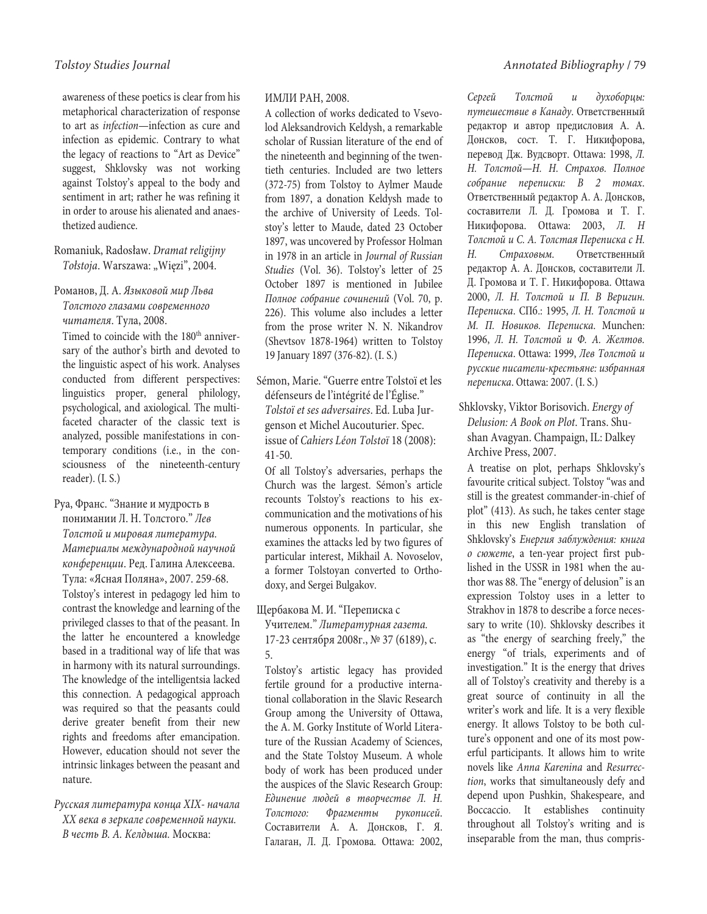awareness of these poetics is clear from his metaphorical characterization of response to art as infection—infection as cure and infection as epidemic. Contrary to what the legacy of reactions to "Art as Device" suggest, Shklovsky was not working against Tolstoy's appeal to the body and sentiment in art; rather he was refining it in order to arouse his alienated and anaesthetized audience.

Romaniuk, Radosław. Dramat religijny Tołstoja. Warszawa: "Więzi", 2004.

Романов, Д. А. Языковой мир Льва Толстого глазами современного читателя. Тула, 2008.

Timed to coincide with the 180<sup>th</sup> anniversary of the author's birth and devoted to the linguistic aspect of his work. Analyses conducted from different perspectives: linguistics proper, general philology, psychological, and axiological. The multifaceted character of the classic text is analyzed, possible manifestations in contemporary conditions (i.e., in the consciousness of the nineteenth-century reader). (I. S.)

Руа, Франс. "Знание и мудрость в понимании Л. Н. Толстого." Лев Толстой и мировая литература. Материалы международной научной конференции. Ред. Галина Алексеева. Тула: «Ясная Поляна», 2007. 259-68. Tolstoy's interest in pedagogy led him to contrast the knowledge and learning of the privileged classes to that of the peasant. In the latter he encountered a knowledge based in a traditional way of life that was in harmony with its natural surroundings. The knowledge of the intelligentsia lacked this connection. A pedagogical approach was required so that the peasants could derive greater benefit from their new rights and freedoms after emancipation. However, education should not sever the intrinsic linkages between the peasant and nature.

Русская литература конца XIX- начала XX века в зеркале современной науки. В честь В. А. Келдыша. Москва:

### ИМЛИ РАН, 2008.

A collection of works dedicated to Vsevolod Aleksandrovich Keldysh, a remarkable scholar of Russian literature of the end of the nineteenth and beginning of the twentieth centuries. Included are two letters (372-75) from Tolstoy to Aylmer Maude from 1897, a donation Keldysh made to the archive of University of Leeds. Tolstoy's letter to Maude, dated 23 October 1897, was uncovered by Professor Holman in 1978 in an article in Journal of Russian Studies (Vol. 36). Tolstoy's letter of 25 October 1897 is mentioned in Jubilee Полное собрание сочинений (Vol. 70, p. 226). This volume also includes a letter from the prose writer N. N. Nikandrov (Shevtsov 1878-1964) written to Tolstoy 19 January 1897 (376-82). (I. S.)

Sémon, Marie. "Guerre entre Tolstoï et les défenseurs de l'intégrité de l'Église." Tolstoï et ses adversaires. Ed. Luba Jurgenson et Michel Aucouturier. Spec. issue of Cahiers Léon Tolstoï 18 (2008): 41-50.

Of all Tolstoy's adversaries, perhaps the Church was the largest. Sémon's article recounts Tolstoy's reactions to his excommunication and the motivations of his numerous opponents. In particular, she examines the attacks led by two figures of particular interest, Mikhail A. Novoselov, a former Tolstoyan converted to Orthodoxy, and Sergei Bulgakov.

Щербакова М. И. "Переписка с

Учителем." Литературная газета. 17-23 сентября 2008г., № 37 (6189), с. 5.

Tolstoy's artistic legacy has provided fertile ground for a productive international collaboration in the Slavic Research Group among the University of Ottawa, the A. M. Gorky Institute of World Literature of the Russian Academy of Sciences, and the State Tolstoy Museum. A whole body of work has been produced under the auspices of the Slavic Research Group: Единение людей в творчестве Л. Н. Толстого: Фрагменты рукописей. Составители А. А. Донсков, Г. Я. Галаган, Л. Д. Громова. Ottawa: 2002,

Сергей Толстой и духоборцы: путешествие в Канаду. Ответственный редактор и автор предисловия А. А. Донсков, сост. Т. Г. Никифорова, перевод Дж. Вудсворт. Ottawa: 1998, Л. Н. Толстой—Н. Н. Страхов. Полное собрание переписки: В 2 томах. Ответственный редактор А. А. Донсков, составители Л. Д. Громова и Т. Г. Никифорова. Ottawa: 2003, Л. Н Толстой и С. А. Толстая Переписка с Н. Н. Страховым. Ответственный редактор А. А. Донсков, составители Л. Д. Громова и Т. Г. Никифорова. Оttawa 2000, Л. Н. Толстой и П. В Веригин. Переписка. СПб.: 1995, Л. Н. Толстой и М. П. Новиков. Переписка. Munchen: 1996, Л. Н. Толстой и Ф. А. Желтов. Переписка. Ottawa: 1999, Лев Толстой и русские писатели-крестьяне: избранная переписка. Ottawa: 2007. (I. S.)

Shklovsky, Viktor Borisovich. Energy of Delusion: A Book on Plot. Trans. Shushan Avagyan. Champaign, IL: Dalkey Archive Press, 2007.

A treatise on plot, perhaps Shklovsky's favourite critical subject. Tolstoy "was and still is the greatest commander-in-chief of plot" (413). As such, he takes center stage in this new English translation of Shklovsky's Енергия заблуждения: книга о сюжете, a ten-year project first published in the USSR in 1981 when the author was 88. The "energy of delusion" is an expression Tolstoy uses in a letter to Strakhov in 1878 to describe a force necessary to write (10). Shklovsky describes it as "the energy of searching freely," the energy "of trials, experiments and of investigation." It is the energy that drives all of Tolstoy's creativity and thereby is a great source of continuity in all the writer's work and life. It is a very flexible energy. It allows Tolstoy to be both culture's opponent and one of its most powerful participants. It allows him to write novels like Anna Karenina and Resurrection, works that simultaneously defy and depend upon Pushkin, Shakespeare, and Boccaccio. It establishes continuity throughout all Tolstoy's writing and is inseparable from the man, thus compris-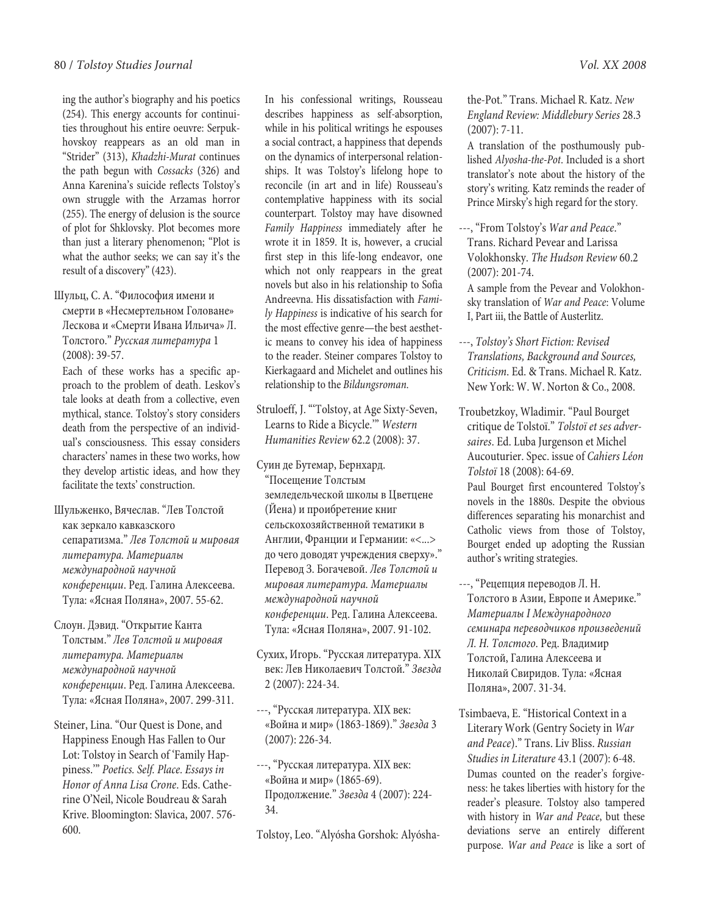ing the author's biography and his poetics (254). This energy accounts for continuities throughout his entire oeuvre: Serpukhovskoy reappears as an old man in "Strider" (313), Khadzhi-Murat continues the path begun with Cossacks (326) and Anna Karenina's suicide reflects Tolstoy's own struggle with the Arzamas horror (255). The energy of delusion is the source of plot for Shklovsky. Plot becomes more than just a literary phenomenon; "Plot is what the author seeks; we can say it's the result of a discovery" (423).

Шульц, С. А. "Философия имени и смерти в «Несмертельном Головане» Лескова и «Смерти Ивана Ильича» Л. Толстого." Русская литература 1 (2008): 39-57.

Each of these works has a specific approach to the problem of death. Leskov's tale looks at death from a collective, even mythical, stance. Tolstoy's story considers death from the perspective of an individual's consciousness. This essay considers characters' names in these two works, how they develop artistic ideas, and how they facilitate the texts' construction.

Шульженко, Вячеслав. "Лев Толстой как зеркало кавказского сепаратизма." Лев Толстой и мировая литература. Материалы международной научной конференции. Ред. Галина Алексеева. Тула: «Ясная Поляна», 2007. 55-62.

Слоун. Дэвид. "Открытие Канта Толстым." Лев Толстой и мировая литература. Материалы международной научной конференции. Ред. Галина Алексеева. Тула: «Ясная Поляна», 2007. 299-311.

Steiner, Lina. "Our Quest is Done, and Happiness Enough Has Fallen to Our Lot: Tolstoy in Search of 'Family Happiness.'" Poetics. Self. Place. Essays in Honor of Anna Lisa Crone. Eds. Catherine O'Neil, Nicole Boudreau & Sarah Krive. Bloomington: Slavica, 2007. 576- 600.

In his confessional writings, Rousseau describes happiness as self-absorption, while in his political writings he espouses a social contract, a happiness that depends on the dynamics of interpersonal relationships. It was Tolstoy's lifelong hope to reconcile (in art and in life) Rousseau's contemplative happiness with its social counterpart. Tolstoy may have disowned Family Happiness immediately after he wrote it in 1859. It is, however, a crucial first step in this life-long endeavor, one which not only reappears in the great novels but also in his relationship to Sofia Andreevna. His dissatisfaction with Family Happiness is indicative of his search for the most effective genre—the best aesthetic means to convey his idea of happiness to the reader. Steiner compares Tolstoy to Kierkagaard and Michelet and outlines his relationship to the Bildungsroman.

Struloeff, J. "'Tolstoy, at Age Sixty-Seven, Learns to Ride a Bicycle.'" Western Humanities Review 62.2 (2008): 37.

Суин де Бутемар, Бернхард. "Посещение Толстым земледельческой школы в Цветцене (Йена) и проибретение книг сельскохозяйственной тематики в Англии, Франции и Германии: «<...> до чего доводят учреждения сверху»." Перевод З. Богачевой. Лев Толстой и мировая литература. Материалы международной научной конференции. Ред. Галина Алексеева. Тула: «Ясная Поляна», 2007. 91-102.

- Сухих, Игорь. "Русская литература. XIX век: Лев Николаевич Толстой." Звезда 2 (2007): 224-34.
- ---, "Русская литература. XIX век: «Война и мир» (1863-1869)." Звезда 3 (2007): 226-34.
- ---, "Русская литература. XIX век: «Война и мир» (1865-69). Продолжение." Звезда 4 (2007): 224- 34.

Tolstoy, Leo. "Alyósha Gorshok: Alyósha-

the-Pot." Trans. Michael R. Katz. New England Review: Middlebury Series 28.3 (2007): 7-11.

A translation of the posthumously published Alyosha-the-Pot. Included is a short translator's note about the history of the story's writing. Katz reminds the reader of Prince Mirsky's high regard for the story.

---, "From Tolstoy's War and Peace." Trans. Richard Pevear and Larissa Volokhonsky. The Hudson Review 60.2 (2007): 201-74.

A sample from the Pevear and Volokhonsky translation of War and Peace: Volume I, Part iii, the Battle of Austerlitz.

---, Tolstoy's Short Fiction: Revised Translations, Background and Sources, Criticism. Ed. & Trans. Michael R. Katz. New York: W. W. Norton & Co., 2008.

Troubetzkoy, Wladimir. "Paul Bourget critique de Tolstoï." Tolstoï et ses adversaires. Ed. Luba Jurgenson et Michel Aucouturier. Spec. issue of Cahiers Léon Tolstoï 18 (2008): 64-69. Paul Bourget first encountered Tolstoy's novels in the 1880s. Despite the obvious differences separating his monarchist and Catholic views from those of Tolstoy,

Bourget ended up adopting the Russian

author's writing strategies.

---, "Рецепция переводов Л. Н. Толстого в Азии, Европе и Америке." Материалы I Международного семинара переводчиков произведений Л. Н. Толстого. Ред. Владимир Толстой, Галина Алексеева и Николай Свиридов. Тула: «Ясная Поляна», 2007. 31-34.

Tsimbaeva, E. "Historical Context in a Literary Work (Gentry Society in War and Peace)." Trans. Liv Bliss. Russian Studies in Literature 43.1 (2007): 6-48. Dumas counted on the reader's forgiveness: he takes liberties with history for the reader's pleasure. Tolstoy also tampered with history in War and Peace, but these deviations serve an entirely different purpose. War and Peace is like a sort of